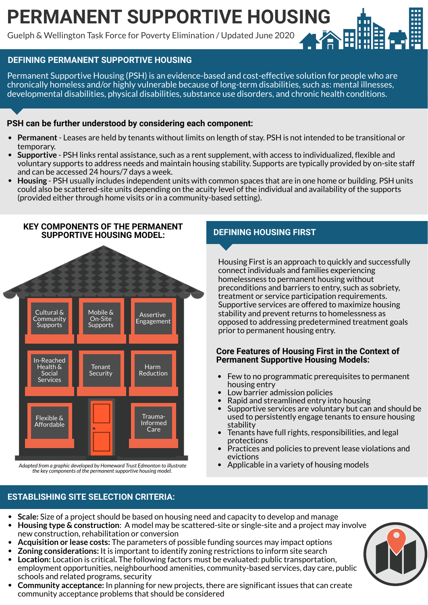# **PERMANENT SUPPORTIVE HOUSING**

Guelph & Wellington Task Force for Poverty Elimination / Updated June 2020

# **DEFINING PERMANENT SUPPORTIVE HOUSING**

Permanent Supportive Housing (PSH) is an evidence-based and cost-effective solution for people who are chronically homeless and/or highly vulnerable because of long-term disabilities, such as: mental illnesses, developmental disabilities, physical disabilities, substance use disorders, and chronic health conditions.

## **PSH can be further understood by considering each component:**

- **Permanent** Leases are held by tenants without limits on length of stay. PSH is not intended to be transitional or temporary.
- **Supportive** PSH links rental assistance, such as a rent supplement, with access to individualized, flexible and voluntary supports to address needs and maintain housing stability. Supports are typically provided by on-site staff and can be accessed 24 hours/7 days a week.
- **Housing** PSH usually includes independent units with common spaces that are in one home or building. PSH units could also be scattered-site units depending on the acuity level of the individual and availability of the supports (provided either through home visits or in a community-based setting).



*the key components of the permanentsupportive housing model.*

# **DEFINING HOUSING FIRST**

Housing First is an approach to quickly and successfully connect individuals and families experiencing homelessness to permanent housing without preconditions and barriers to entry, such as sobriety, treatment or service participation requirements. Supportive services are offered to maximize housing stability and prevent returns to homelessness as opposed to addressing predetermined treatment goals prior to permanent housing entry.

#### **Core Features of Housing First in the Context of Permanent Supportive Housing Models:**

- Few to no programmatic prerequisites to permanent housing entry
- Low barrier admission policies  $\bullet$
- Rapid and streamlined entry into housing
- Supportive services are voluntary but can and should be  $\bullet$ used to persistently engage tenants to ensure housing stability
- Tenants have full rights, responsibilities, and legal protections
- Practices and policies to prevent lease violations and  $\bullet$ evictions
- Applicable in a variety of housing models

## **ESTABLISHING SITE SELECTION CRITERIA:**

- **Scale:** Size of a project should be based on housing need and capacity to develop and manage
- **Housing type & construction**: A model may be scattered-site or single-site and a project may involve  $\bullet$ new construction, rehabilitation or conversion
- **Acquisition or lease costs:** The parameters of possible funding sources may impact options
- **Zoning considerations:** It is important to identify zoning restrictions to inform site search
- $\bullet$ **Location:** Location is critical**.** The following factors must be evaluated: public transportation, employment opportunities, neighbourhood amenities, community-based services, day care, public schools and related programs, security
- **Community acceptance:** In planning for new projects, there are significant issues that can create community acceptance problems that should be considered

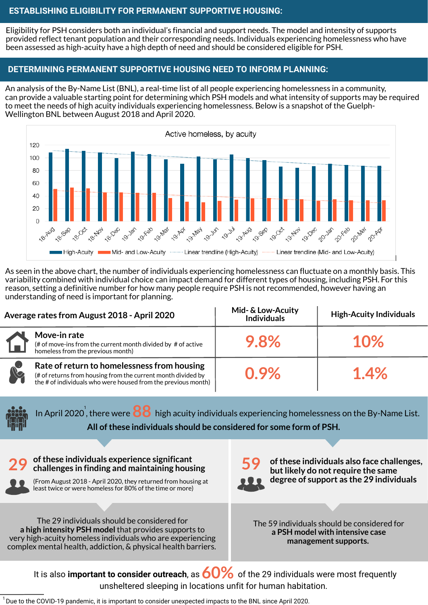#### **ESTABLISHING ELIGIBILITY FOR PERMANENT SUPPORTIVE HOUSING:**

Eligibility for PSH considers both an individual's financial and support needs. The model and intensity of supports provided reflect tenant population and their corresponding needs. Individuals experiencing homelessness who have been assessed as high-acuity have a high depth of need and should be considered eligible for PSH.

#### **DETERMINING PERMANENT SUPPORTIVE HOUSING NEED TO INFORM PLANNING:**

An analysis of the By-Name List (BNL), a real-time list of all people experiencing homelessness in a community, can provide a valuable starting point for determining which PSH models and what intensity of supports may be required to meet the needs of high acuity individuals experiencing homelessness. Below is a snapshot of the Guelph-Wellington BNL between August 2018 and April 2020.



As seen in the above chart, the number of individuals experiencing homelessness can fluctuate on a monthly basis. This variability combined with individual choice can impact demand for different types of housing, including PSH. For this reason, setting a definitive number for how many people require PSH is not recommended, however having an understanding of need is important for planning.

| Average rates from August 2018 - April 2020 |                                                                                                                                                                              | Mid- & Low-Acuity<br><b>Individuals</b> | <b>High-Acuity Individuals</b> |
|---------------------------------------------|------------------------------------------------------------------------------------------------------------------------------------------------------------------------------|-----------------------------------------|--------------------------------|
| L                                           | Move-in rate<br>(# of move-ins from the current month divided by $#$ of active homeless from the previous month)                                                             | 9.8%                                    | 10%                            |
| R                                           | Rate of return to homelessness from housing<br>(# of returns from housing from the current month divided by<br>the # of individuals who were housed from the previous month) | $0.9\%$                                 | 1.4%                           |

In April 2020 $^{\prime}$ , there were  $\bf{88}$  high acuity individuals experiencing homelessness on the By-Name List. **All ofthese individuals should be considered for some form of PSH.**

#### **29 ofthese individuals experience significant challenges in finding and maintaining housing 59**

(From August <sup>2018</sup> - April 2020, they returned from housing at **degree of support as the 29 individuals** least twice or were homeless for 80% of the time or more)



**ofthese individuals also face challenges, but likely do not require the same** 

The 29 individuals should be considered for **a high intensity PSH model** that provides supports to very high-acuity homeless individuals who are experiencing complex mental health, addiction, & physical health barriers.

The 59 individuals should be considered for **a PSH model with intensive case management supports.**

It is also **important to consider outreach**, as  $60\%$  of the 29 individuals were most frequently unsheltered sleeping in locations unfit for human habitation.

Due to the COVID-19 pandemic, it is important to consider unexpected impacts to the BNL since April 2020. 1